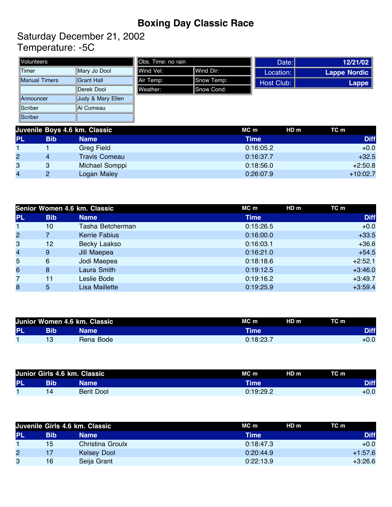## **Boxing Day Classic Race**

Saturday December 21, 2002 Temperature: -5C

| Volunteers                                                                      |                    | <b>I</b> lObs. Time: no rain |            |                              | Date:        | 12/21/02            |
|---------------------------------------------------------------------------------|--------------------|------------------------------|------------|------------------------------|--------------|---------------------|
| ∣Timer                                                                          | Mary Jo Dool       | Wind Vel:                    | lWind Dir: |                              | Location:    | <b>Lappe Nordic</b> |
| <b>IManual Timers</b>                                                           | <b>Grant Hall</b>  | Air Temp:                    | Snow Temp: |                              | Host Club:   | <b>Lappe</b>        |
|                                                                                 | <b>IDerek Dool</b> | Weather:                     | Snow Cond: |                              |              |                     |
| Announcer                                                                       | Judy & Mary Ellen  |                              |            |                              |              |                     |
| <b>Scriber</b>                                                                  | IAI Comeau         |                              |            |                              |              |                     |
| Scriber                                                                         |                    |                              |            |                              |              |                     |
| $L_{\text{max}} = \mathbf{D}$ and $\mathbf{A} \cap L_{\text{max}}$ $\mathbf{A}$ |                    |                              |            | $\mathbf{M} \cap \mathbf{M}$ | $\mathbf{H}$ | <b>TA</b>           |

|                | Juvenile Boys 4.6 km. Classic |                      | HDm<br>MC m | TC m        |
|----------------|-------------------------------|----------------------|-------------|-------------|
| <b>PL</b>      | <b>Bib</b>                    | Name                 | Time        | <b>Diff</b> |
|                |                               | <b>Greg Field</b>    | 0:16:05.2   | $+0.0$      |
| $\overline{c}$ | 4                             | <b>Travis Comeau</b> | 0:16:37.7   | $+32.5$     |
| 3              | 3                             | Michael Somppi       | 0:18:56.0   | $+2:50.8$   |
| 4              | $\circ$                       | Logan Maley          | 0:26:07.9   | $+10:02.7$  |

|                |            | Senior Women 4.6 km. Classic | MC m        | HD m<br>TC m |
|----------------|------------|------------------------------|-------------|--------------|
| <b>PL</b>      | <b>Bib</b> | <b>Name</b>                  | <b>Time</b> | <b>Diff</b>  |
|                | 10         | Tasha Betcherman             | 0:15:26.5   | $+0.0$       |
| $\overline{2}$ | 7          | <b>Kerrie Fabius</b>         | 0:16:00.0   | $+33.5$      |
| 3              | 12         | Becky Laakso                 | 0:16:03.1   | $+36.6$      |
| $\overline{4}$ | 9          | Jill Maepea                  | 0:16:21.0   | $+54.5$      |
| 5              | 6          | Jodi Maepea                  | 0:18:18.6   | $+2:52.1$    |
| 6              | 8          | Laura Smith                  | 0:19:12.5   | $+3:46.0$    |
| 7              | 11         | Leslie Bode                  | 0:19:16.2   | $+3:49.7$    |
| 8              | 5          | Lisa Maillette               | 0:19:25.9   | $+3:59.4$    |

| Junior Women 4.6 km. Classic |     |             | HD <sub>m</sub><br>TC m<br>MC m |             |
|------------------------------|-----|-------------|---------------------------------|-------------|
| <b>PL</b>                    | Bib | <b>Name</b> | Time                            | <b>Diff</b> |
|                              |     | Rena Bode   | 0:18:23.7                       | $+0.0$      |

|           |    | Junior Girls 4.6 km. Classic | TC m<br>HD <sub>m</sub><br>MC m |             |
|-----------|----|------------------------------|---------------------------------|-------------|
| <b>PL</b> |    | <b>Name</b>                  | Time'                           | <b>Diff</b> |
|           | 14 | Berit Dool                   | 0:19:29.2                       | $+0.0$      |

|           | Juvenile Girls 4.6 km. Classic |                    | MC m<br>HDm | TC m        |
|-----------|--------------------------------|--------------------|-------------|-------------|
| <b>PL</b> | <b>Bib</b>                     | <b>Name</b>        | Time        | <b>Diff</b> |
|           | 15 <sub>1</sub>                | Christina Groulx   | 0:18:47.3   | $+0.0$      |
| 2         |                                | <b>Kelsey Dool</b> | 0:20:44.9   | $+1:57.6$   |
| 3         | 16                             | Seija Grant        | 0:22:13.9   | $+3:26.6$   |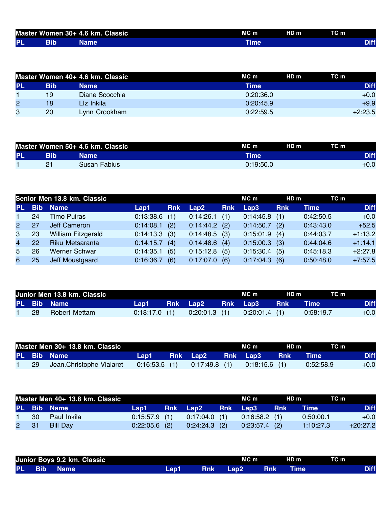|           | Master Women 30+ 4.6 km. Classic | MC <sub>m</sub> | HD <sub>m</sub> | TC m |             |
|-----------|----------------------------------|-----------------|-----------------|------|-------------|
| <b>PL</b> | <b>Name</b>                      |                 |                 |      | <b>Diff</b> |

|                |            | Master Women 40+ 4.6 km. Classic | MC m<br>HD <sub>m</sub> | TC m        |
|----------------|------------|----------------------------------|-------------------------|-------------|
| <b>PL</b>      | <b>Bib</b> | <b>Name</b>                      | Time                    | <b>Diff</b> |
|                | 19         | Diane Scocchia                   | 0:20:36.0               | $+0.0$      |
| $\overline{2}$ | 18         | Liz Inkila                       | 0:20:45.9               | $+9.9$      |
| 3              | 20         | Lynn Crookham                    | 0:22:59.5               | $+2:23.5$   |

|           |    | Master Women 50+ 4.6 km. Classic | MC m      | HD <sub>m</sub> | TC m        |
|-----------|----|----------------------------------|-----------|-----------------|-------------|
| <b>PL</b> |    | <b>Name</b> '                    | Time      |                 | <b>Diff</b> |
|           | n. | Susan Fabius I                   | 0:19:50.0 |                 | +0.0        |

|                |            | Senior Men 13.8 km. Classic |                 |            |                 |            | MC m      | HDm        | TC m      |             |
|----------------|------------|-----------------------------|-----------------|------------|-----------------|------------|-----------|------------|-----------|-------------|
| PL.            | <b>Bib</b> | <b>Name</b>                 | Lap1            | <b>Rnk</b> | Lap2            | <b>Rnk</b> | Lap3      | <b>Rnk</b> | Time      | <b>Diff</b> |
| $\mathbf 1$    | 24         | <b>Timo Puiras</b>          | 0:13:38.6       | (1)        | 0:14:26.1       | (1)        | 0:14:45.8 | (1)        | 0:42:50.5 | $+0.0$      |
| $2^{\circ}$    | 27         | Jeff Cameron                | $0:14:08.1$ (2) |            | 0:14:44.2       | (2)        | 0:14:50.7 | (2)        | 0:43:43.0 | $+52.5$     |
| 3              | 23         | <b>William Fitzgerald</b>   | $0:14:13.3$ (3) |            | $0:14:48.5$ (3) |            | 0:15:01.9 | (4)        | 0:44:03.7 | $+1:13.2$   |
| $\overline{4}$ | <b>22</b>  | Riku Metsaranta             | $0:14:15.7$ (4) |            | $0:14:48.6$ (4) |            | 0:15:00.3 | (3)        | 0:44:04.6 | $+1:14.1$   |
| 5              | 26         | Werner Schwar               | 0:14:35.1       | (5)        | 0:15:12.8       | (5)        | 0:15:30.4 | (5)        | 0:45:18.3 | $+2:27.8$   |
| 6              | 25         | Jeff Moustgaard             | 0:16:36.7       | (6)        | 0:17:07.0       | (6)        | 0:17:04.3 | (6)        | 0:50:48.0 | $+7:57.5$   |

|     | Junior Men 13.8 km. Classic |                 |                       | MC m                            | HD m   | TC m        |             |
|-----|-----------------------------|-----------------|-----------------------|---------------------------------|--------|-------------|-------------|
|     | PL Bib Name                 | Lap1 a          | Rnk Lap2 - Rnk Lap3 - |                                 | ⊟ Rnk∶ | <b>Time</b> | <b>Diff</b> |
| -28 | Robert Mettam               | $0:18:17.0$ (1) |                       | $0:20:01.3$ (1) $0:20:01.4$ (1) |        | 0:58:19.7   | $+0.0$      |

|  | Master Men 30+ 13.8 km. Classic |         |  | MC m                                            | HD m | TC m      |             |
|--|---------------------------------|---------|--|-------------------------------------------------|------|-----------|-------------|
|  | <b>PL Bib Name</b>              | Lap1___ |  | Rnk Lap2 Rnk Lap3 Rnk Time                      |      |           | <b>Diff</b> |
|  | 29 Jean.Christophe Vialaret     |         |  | $0:16:53.5$ (1) $0:17:49.8$ (1) $0:18:15.6$ (1) |      | 0:52:58.9 | $+0.0$      |

|  | Master Men 40+ 13.8 km. Classic |               |                                                 | MC m            | HD m | TC m      |             |
|--|---------------------------------|---------------|-------------------------------------------------|-----------------|------|-----------|-------------|
|  | PL Bib Name                     | Lap1 <b>D</b> | Rnk Lap2 Rnk Lap3 Rnk                           |                 |      | - Time I  | <b>Diff</b> |
|  | 1 30 Paul Inkila                |               | $0.15.57.9$ (1) $0.17.04.0$ (1) $0.16.58.2$ (1) |                 |      | 0:50:00.1 | $+0.0$      |
|  | 2 31 Bill Day                   |               | $0:22:05.6$ (2) $0:24:24.3$ (2)                 | $0:23:57.4$ (2) |      | 1:10:27.3 | $+20:27.2$  |

|        | Junior Boys 9.2 km. Classic |      |     | MC m             |            | HD <sub>m</sub> | TC m |             |
|--------|-----------------------------|------|-----|------------------|------------|-----------------|------|-------------|
| PL Bib | <b>Name</b>                 | Lap1 | Rnk | Lap <sub>2</sub> | <b>Rnk</b> | Time            |      | <b>Diff</b> |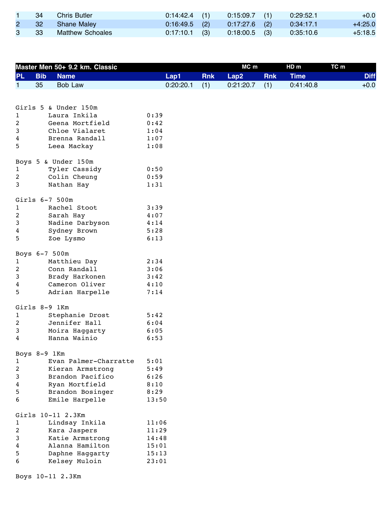|   | -34  | Chris Butler     | $0:14:42.4$ (1) | $0:15:09.7$ (1) | 0:29:52.1 | $+0.0$    |
|---|------|------------------|-----------------|-----------------|-----------|-----------|
|   | - 32 | Shane Maley      | $0:16:49.5$ (2) | $0.17:27.6$ (2) | 0:34:17.1 | $+4:25.0$ |
| 3 | - 33 | Matthew Schoales | $0.17:10.1$ (3) | $0:18:00.5$ (3) | 0:35:10.6 | $+5:18.5$ |

|                |            | Master Men 50+ 9.2 km. Classic |       |           |            | MC m      |            | HD <sub>m</sub> | TC m |             |
|----------------|------------|--------------------------------|-------|-----------|------------|-----------|------------|-----------------|------|-------------|
| <b>PL</b>      | <b>Bib</b> | <b>Name</b>                    |       | Lap1      | <b>Rnk</b> | Lap2      | <b>Rnk</b> | <b>Time</b>     |      | <b>Diff</b> |
| $\mathbf 1$    | 35         | <b>Bob Law</b>                 |       | 0:20:20.1 | (1)        | 0:21:20.7 | (1)        | 0:41:40.8       |      | $+0.0$      |
|                |            |                                |       |           |            |           |            |                 |      |             |
|                |            |                                |       |           |            |           |            |                 |      |             |
|                |            | Girls 5 & Under 150m           |       |           |            |           |            |                 |      |             |
| 1              |            | Laura Inkila                   | 0:39  |           |            |           |            |                 |      |             |
| $\overline{c}$ |            | Geena Mortfield                | 0:42  |           |            |           |            |                 |      |             |
| 3              |            | Chloe Vialaret                 | 1:04  |           |            |           |            |                 |      |             |
| 4              |            | Brenna Randall                 | 1:07  |           |            |           |            |                 |      |             |
| 5              |            | Leea Mackay                    | 1:08  |           |            |           |            |                 |      |             |
|                |            | Boys 5 & Under 150m            |       |           |            |           |            |                 |      |             |
| 1              |            | Tyler Cassidy                  | 0:50  |           |            |           |            |                 |      |             |
| 2              |            | Colin Cheung                   | 0:59  |           |            |           |            |                 |      |             |
| 3              |            | Nathan Hay                     | 1:31  |           |            |           |            |                 |      |             |
|                |            |                                |       |           |            |           |            |                 |      |             |
|                |            | Girls 6-7 500m                 |       |           |            |           |            |                 |      |             |
| 1              |            | Rachel Stoot                   | 3:39  |           |            |           |            |                 |      |             |
| $\overline{c}$ |            | Sarah Hay                      | 4:07  |           |            |           |            |                 |      |             |
| 3              |            | Nadine Darbyson                | 4:14  |           |            |           |            |                 |      |             |
| 4              |            | Sydney Brown                   | 5:28  |           |            |           |            |                 |      |             |
| 5              |            | Zoe Lysmo                      | 6:13  |           |            |           |            |                 |      |             |
|                |            | Boys 6-7 500m                  |       |           |            |           |            |                 |      |             |
| 1              |            | Matthieu Day                   | 2:34  |           |            |           |            |                 |      |             |
| $\overline{c}$ |            | Conn Randall                   | 3:06  |           |            |           |            |                 |      |             |
| 3              |            | Brady Harkonen                 | 3:42  |           |            |           |            |                 |      |             |
| 4              |            | Cameron Oliver                 | 4:10  |           |            |           |            |                 |      |             |
| 5              |            | Adrian Harpelle                | 7:14  |           |            |           |            |                 |      |             |
|                |            |                                |       |           |            |           |            |                 |      |             |
|                |            | Girls 8-9 1Km                  |       |           |            |           |            |                 |      |             |
| 1              |            | Stephanie Drost                | 5:42  |           |            |           |            |                 |      |             |
| $\overline{c}$ |            | Jennifer Hall                  | 6:04  |           |            |           |            |                 |      |             |
| 3              |            | Moira Haggarty                 | 6:05  |           |            |           |            |                 |      |             |
| 4              |            | Hanna Wainio                   | 6:53  |           |            |           |            |                 |      |             |
|                |            | Boys 8-9 1Km                   |       |           |            |           |            |                 |      |             |
| 1              |            | Evan Palmer-Charratte          | 5:01  |           |            |           |            |                 |      |             |
| 2              |            | Kieran Armstrong               | 5:49  |           |            |           |            |                 |      |             |
| 3              |            | Brandon Pacifico               | 6:26  |           |            |           |            |                 |      |             |
| 4              |            | Ryan Mortfield                 | 8:10  |           |            |           |            |                 |      |             |
| 5              |            | Brandon Bosinger               | 8:29  |           |            |           |            |                 |      |             |
| 6              |            | Emile Harpelle                 | 13:50 |           |            |           |            |                 |      |             |
|                |            |                                |       |           |            |           |            |                 |      |             |
|                |            | Girls 10-11 2.3Km              |       |           |            |           |            |                 |      |             |
| 1              |            | Lindsay Inkila                 | 11:06 |           |            |           |            |                 |      |             |
| $\overline{c}$ |            | Kara Jaspers                   | 11:29 |           |            |           |            |                 |      |             |
| 3              |            | Katie Armstrong                | 14:48 |           |            |           |            |                 |      |             |
| 4              |            | Alanna Hamilton                | 15:01 |           |            |           |            |                 |      |             |
| 5              |            | Daphne Haggarty                | 15:13 |           |            |           |            |                 |      |             |
| 6              |            | Kelsey Muloin                  | 23:01 |           |            |           |            |                 |      |             |